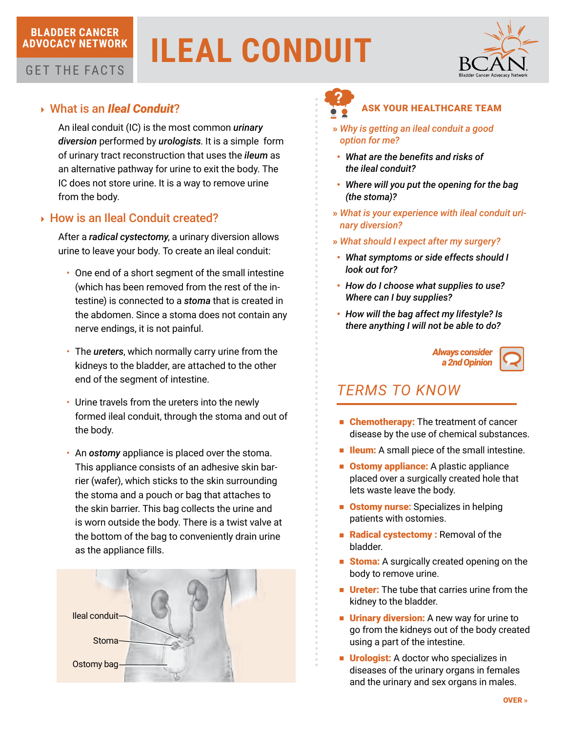### **BLADDER CANCER ADVOCACY NETWORK**

# **ILEAL CONDUIT**



## GET THE FACTS

## 4 What is an *Ileal Conduit*?

An ileal conduit (IC) is the most common *urinary diversion* performed by *urologists*. It is a simple form of urinary tract reconstruction that uses the *ileum* as an alternative pathway for urine to exit the body. The IC does not store urine. It is a way to remove urine from the body.

## ▶ How is an Ileal Conduit created?

After a *radical cystectomy*, a urinary diversion allows urine to leave your body. To create an ileal conduit:

- One end of a short segment of the small intestine (which has been removed from the rest of the intestine) is connected to a *stoma* that is created in the abdomen. Since a stoma does not contain any nerve endings, it is not painful.
- • The *ureters*, which normally carry urine from the kidneys to the bladder, are attached to the other end of the segment of intestine.
- Urine travels from the ureters into the newly formed ileal conduit, through the stoma and out of the body.
- • An *ostomy* appliance is placed over the stoma. This appliance consists of an adhesive skin barrier (wafer), which sticks to the skin surrounding the stoma and a pouch or bag that attaches to the skin barrier. This bag collects the urine and is worn outside the body. There is a twist valve at the bottom of the bag to conveniently drain urine as the appliance fills.





### ASK YOUR HEALTHCARE TEAM

- » *Why is getting an ileal conduit a good option for me?*
- • *What are the benefits and risks of the ileal conduit?*
- • *Where will you put the opening for the bag (the stoma)?*
- » *What is your experience with ileal conduit urinary diversion?*
- » *What should I expect after my surgery?*
- • *What symptoms or side effects should I look out for?*
- • *How do I choose what supplies to use? Where can I buy supplies?*
- • *How will the bag affect my lifestyle? Is there anything I will not be able to do?*



## *TERMS TO KNOW*

- Chemotherapy: The treatment of cancer disease by the use of chemical substances.
- Ileum: A small piece of the small intestine.
- Ostomy appliance: A plastic appliance placed over a surgically created hole that lets waste leave the body.
- Ostomy nurse: Specializes in helping patients with ostomies.
- Radical cystectomy : Removal of the bladder.
- Stoma: A surgically created opening on the body to remove urine.
- **Ureter:** The tube that carries urine from the kidney to the bladder.
- **Urinary diversion:** A new way for urine to go from the kidneys out of the body created using a part of the intestine.
- Urologist: A doctor who specializes in diseases of the urinary organs in females and the urinary and sex organs in males.